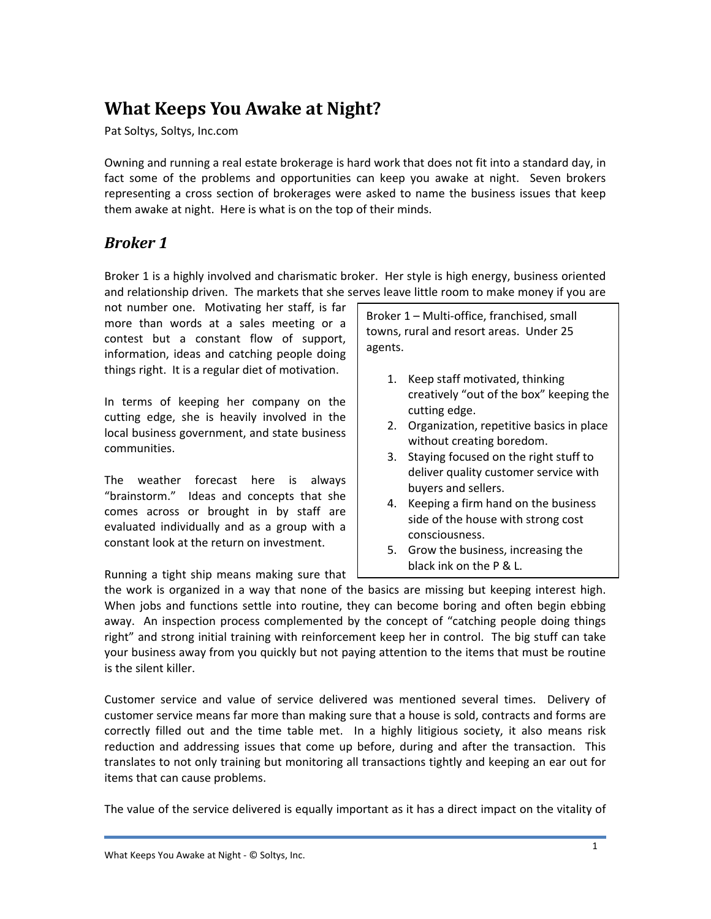# **What Keeps You Awake at Night?**

Pat Soltys, Soltys, Inc.com

Owning and running a real estate brokerage is hard work that does not fit into a standard day, in fact some of the problems and opportunities can keep you awake at night. Seven brokers representing a cross section of brokerages were asked to name the business issues that keep them awake at night. Here is what is on the top of their minds.

### *Broker 1*

Broker 1 is a highly involved and charismatic broker. Her style is high energy, business oriented and relationship driven. The markets that she serves leave little room to make money if you are

not number one. Motivating her staff, is far more than words at a sales meeting or a contest but a constant flow of support, information, ideas and catching people doing things right. It is a regular diet of motivation.

In terms of keeping her company on the cutting edge, she is heavily involved in the local business government, and state business communities.

The weather forecast here is always "brainstorm." Ideas and concepts that she comes across or brought in by staff are evaluated individually and as a group with a constant look at the return on investment.

Running a tight ship means making sure that

Broker 1 – Multi‐office, franchised, small towns, rural and resort areas. Under 25 agents.

- 1. Keep staff motivated, thinking creatively "out of the box" keeping the cutting edge.
- 2. Organization, repetitive basics in place without creating boredom.
- 3. Staying focused on the right stuff to deliver quality customer service with buyers and sellers.
- 4. Keeping a firm hand on the business side of the house with strong cost consciousness.
- 5. Grow the business, increasing the black ink on the P & L.

the work is organized in a way that none of the basics are missing but keeping interest high. When jobs and functions settle into routine, they can become boring and often begin ebbing away. An inspection process complemented by the concept of "catching people doing things right" and strong initial training with reinforcement keep her in control. The big stuff can take your business away from you quickly but not paying attention to the items that must be routine is the silent killer.

Customer service and value of service delivered was mentioned several times. Delivery of customer service means far more than making sure that a house is sold, contracts and forms are correctly filled out and the time table met. In a highly litigious society, it also means risk reduction and addressing issues that come up before, during and after the transaction. This translates to not only training but monitoring all transactions tightly and keeping an ear out for items that can cause problems.

The value of the service delivered is equally important as it has a direct impact on the vitality of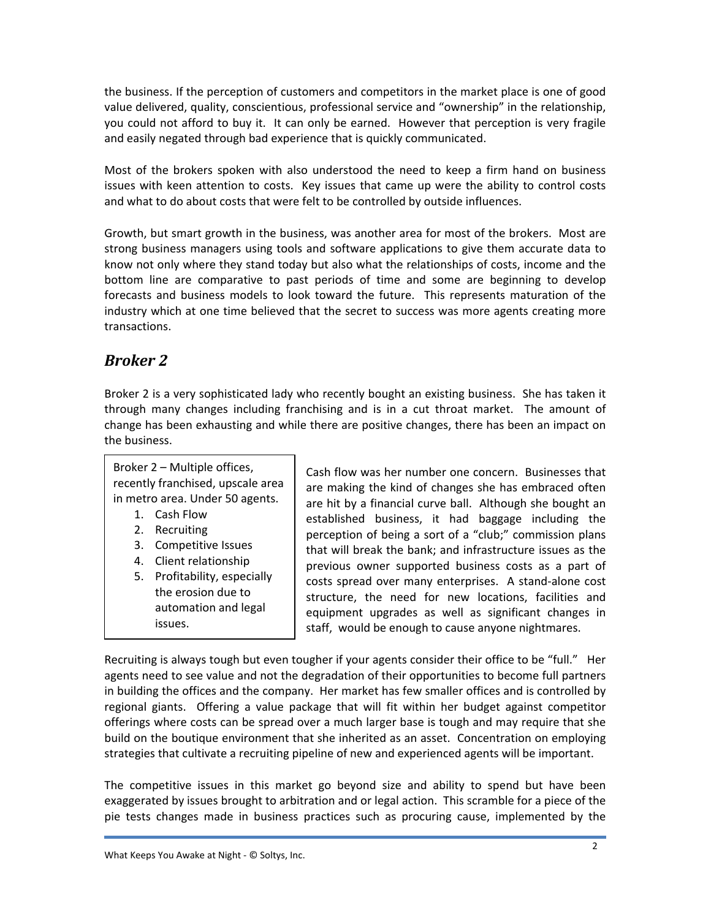the business. If the perception of customers and competitors in the market place is one of good value delivered, quality, conscientious, professional service and "ownership" in the relationship, you could not afford to buy it. It can only be earned. However that perception is very fragile and easily negated through bad experience that is quickly communicated.

Most of the brokers spoken with also understood the need to keep a firm hand on business issues with keen attention to costs. Key issues that came up were the ability to control costs and what to do about costs that were felt to be controlled by outside influences.

Growth, but smart growth in the business, was another area for most of the brokers. Most are strong business managers using tools and software applications to give them accurate data to know not only where they stand today but also what the relationships of costs, income and the bottom line are comparative to past periods of time and some are beginning to develop forecasts and business models to look toward the future. This represents maturation of the industry which at one time believed that the secret to success was more agents creating more transactions.

### *Broker 2*

Broker 2 is a very sophisticated lady who recently bought an existing business. She has taken it through many changes including franchising and is in a cut throat market. The amount of change has been exhausting and while there are positive changes, there has been an impact on the business.

| Broker 2 – Multiple offices,      | Cash flow was her number one concern. Businesses that      |
|-----------------------------------|------------------------------------------------------------|
| recently franchised, upscale area | are making the kind of changes she has embraced often      |
| in metro area. Under 50 agents.   | are hit by a financial curve ball. Although she bought an  |
| 1. Cash Flow                      | established business, it had baggage including the         |
| 2. Recruiting                     | perception of being a sort of a "club;" commission plans   |
| 3. Competitive Issues             | that will break the bank; and infrastructure issues as the |
| 4. Client relationship            | previous owner supported business costs as a part of       |
| 5. Profitability, especially      | costs spread over many enterprises. A stand-alone cost     |
| the erosion due to                | structure, the need for new locations, facilities and      |
| automation and legal              | equipment upgrades as well as significant changes in       |
| issues.                           | staff, would be enough to cause anyone nightmares.         |

Recruiting is always tough but even tougher if your agents consider their office to be "full." Her agents need to see value and not the degradation of their opportunities to become full partners in building the offices and the company. Her market has few smaller offices and is controlled by regional giants. Offering a value package that will fit within her budget against competitor offerings where costs can be spread over a much larger base is tough and may require that she build on the boutique environment that she inherited as an asset. Concentration on employing strategies that cultivate a recruiting pipeline of new and experienced agents will be important.

The competitive issues in this market go beyond size and ability to spend but have been exaggerated by issues brought to arbitration and or legal action. This scramble for a piece of the pie tests changes made in business practices such as procuring cause, implemented by the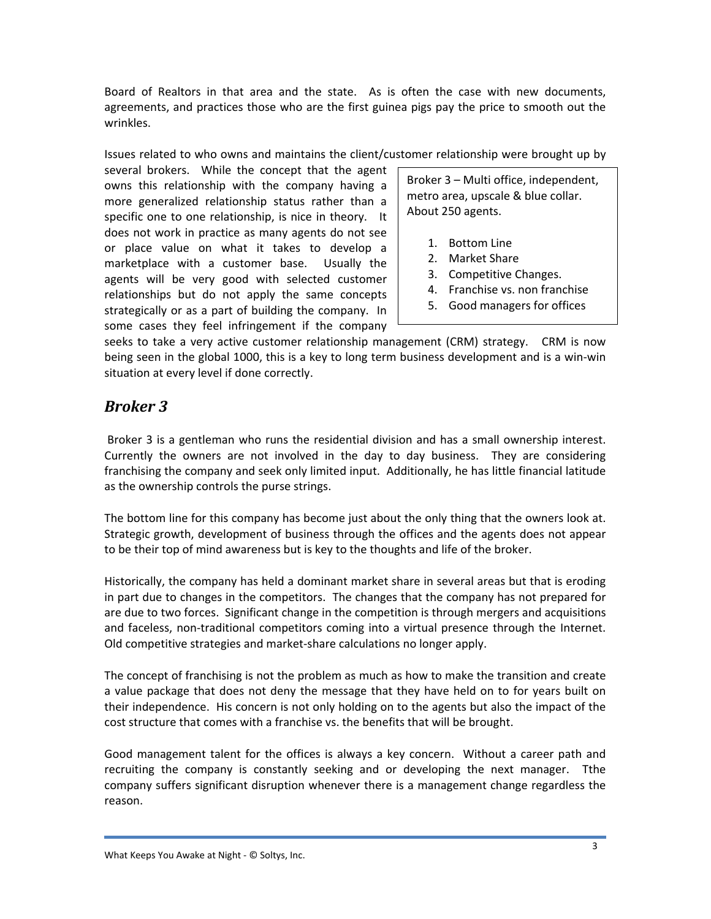Board of Realtors in that area and the state. As is often the case with new documents, agreements, and practices those who are the first guinea pigs pay the price to smooth out the wrinkles.

Issues related to who owns and maintains the client/customer relationship were brought up by

several brokers. While the concept that the agent owns this relationship with the company having a more generalized relationship status rather than a specific one to one relationship, is nice in theory. It does not work in practice as many agents do not see or place value on what it takes to develop a marketplace with a customer base. Usually the agents will be very good with selected customer relationships but do not apply the same concepts strategically or as a part of building the company. In some cases they feel infringement if the company

Broker 3 – Multi office, independent, metro area, upscale & blue collar. About 250 agents.

- 1. Bottom Line
- 2. Market Share
- 3. Competitive Changes.
- 4. Franchise vs. non franchise
- 5. Good managers for offices

seeks to take a very active customer relationship management (CRM) strategy. CRM is now being seen in the global 1000, this is a key to long term business development and is a win-win situation at every level if done correctly.

### *Broker 3*

Broker 3 is a gentleman who runs the residential division and has a small ownership interest. Currently the owners are not involved in the day to day business. They are considering franchising the company and seek only limited input. Additionally, he has little financial latitude as the ownership controls the purse strings.

The bottom line for this company has become just about the only thing that the owners look at. Strategic growth, development of business through the offices and the agents does not appear to be their top of mind awareness but is key to the thoughts and life of the broker.

Historically, the company has held a dominant market share in several areas but that is eroding in part due to changes in the competitors. The changes that the company has not prepared for are due to two forces. Significant change in the competition is through mergers and acquisitions and faceless, non-traditional competitors coming into a virtual presence through the Internet. Old competitive strategies and market‐share calculations no longer apply.

The concept of franchising is not the problem as much as how to make the transition and create a value package that does not deny the message that they have held on to for years built on their independence. His concern is not only holding on to the agents but also the impact of the cost structure that comes with a franchise vs. the benefits that will be brought.

Good management talent for the offices is always a key concern. Without a career path and recruiting the company is constantly seeking and or developing the next manager. Tthe company suffers significant disruption whenever there is a management change regardless the reason.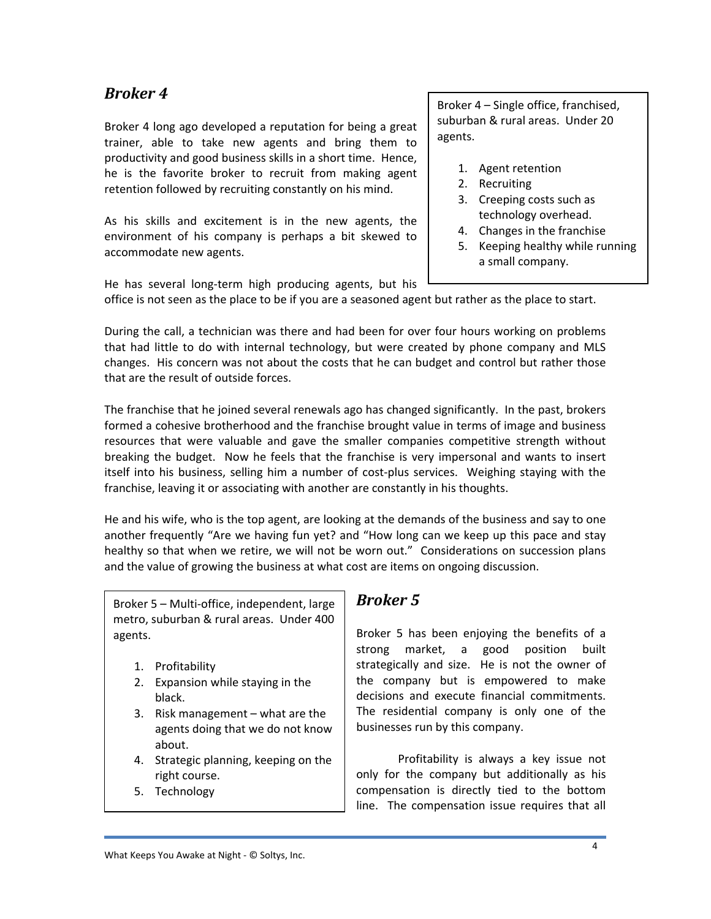### *Broker 4*

Broker 4 long ago developed a reputation for being a great trainer, able to take new agents and bring them to productivity and good business skills in a short time. Hence, he is the favorite broker to recruit from making agent retention followed by recruiting constantly on his mind.

As his skills and excitement is in the new agents, the environment of his company is perhaps a bit skewed to accommodate new agents.

Broker 4 – Single office, franchised, suburban & rural areas. Under 20 agents.

- 1. Agent retention
- 2. Recruiting
- 3. Creeping costs such as technology overhead.
- 4. Changes in the franchise
- 5. Keeping healthy while running a small company.

He has several long‐term high producing agents, but his

office is not seen as the place to be if you are a seasoned agent but rather as the place to start.

During the call, a technician was there and had been for over four hours working on problems that had little to do with internal technology, but were created by phone company and MLS changes. His concern was not about the costs that he can budget and control but rather those that are the result of outside forces.

The franchise that he joined several renewals ago has changed significantly. In the past, brokers formed a cohesive brotherhood and the franchise brought value in terms of image and business resources that were valuable and gave the smaller companies competitive strength without breaking the budget. Now he feels that the franchise is very impersonal and wants to insert itself into his business, selling him a number of cost-plus services. Weighing staying with the franchise, leaving it or associating with another are constantly in his thoughts.

He and his wife, who is the top agent, are looking at the demands of the business and say to one another frequently "Are we having fun yet? and "How long can we keep up this pace and stay healthy so that when we retire, we will not be worn out." Considerations on succession plans and the value of growing the business at what cost are items on ongoing discussion.

Broker 5 – Multi‐office, independent, large metro, suburban & rural areas. Under 400 agents.

- 1. Profitability
- 2. Expansion while staying in the black.
- 3. Risk management what are the agents doing that we do not know about.
- 4. Strategic planning, keeping on the right course.
- 5. Technology

#### *Broker 5*

Broker 5 has been enjoying the benefits of a strong market, a good position built strategically and size. He is not the owner of the company but is empowered to make decisions and execute financial commitments. The residential company is only one of the businesses run by this company.

Profitability is always a key issue not only for the company but additionally as his compensation is directly tied to the bottom line. The compensation issue requires that all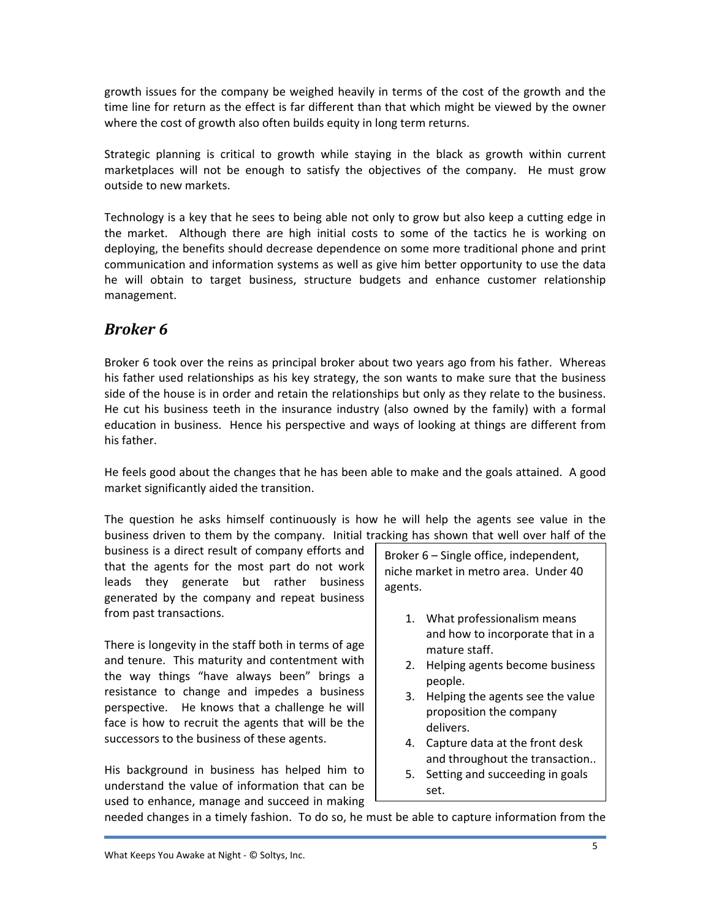growth issues for the company be weighed heavily in terms of the cost of the growth and the time line for return as the effect is far different than that which might be viewed by the owner where the cost of growth also often builds equity in long term returns.

Strategic planning is critical to growth while staying in the black as growth within current marketplaces will not be enough to satisfy the objectives of the company. He must grow outside to new markets.

Technology is a key that he sees to being able not only to grow but also keep a cutting edge in the market. Although there are high initial costs to some of the tactics he is working on deploying, the benefits should decrease dependence on some more traditional phone and print communication and information systems as well as give him better opportunity to use the data he will obtain to target business, structure budgets and enhance customer relationship management.

## *Broker 6*

Broker 6 took over the reins as principal broker about two years ago from his father. Whereas his father used relationships as his key strategy, the son wants to make sure that the business side of the house is in order and retain the relationships but only as they relate to the business. He cut his business teeth in the insurance industry (also owned by the family) with a formal education in business. Hence his perspective and ways of looking at things are different from his father.

He feels good about the changes that he has been able to make and the goals attained. A good market significantly aided the transition.

The question he asks himself continuously is how he will help the agents see value in the business driven to them by the company. Initial tracking has shown that well over half of the

business is a direct result of company efforts and that the agents for the most part do not work leads they generate but rather business generated by the company and repeat business from past transactions.

There is longevity in the staff both in terms of age and tenure. This maturity and contentment with the way things "have always been" brings a resistance to change and impedes a business perspective. He knows that a challenge he will face is how to recruit the agents that will be the successors to the business of these agents.

His background in business has helped him to understand the value of information that can be used to enhance, manage and succeed in making Broker 6 – Single office, independent, niche market in metro area. Under 40 agents.

- 1. What professionalism means and how to incorporate that in a mature staff.
- 2. Helping agents become business people.
- 3. Helping the agents see the value proposition the company delivers.
- 4. Capture data at the front desk and throughout the transaction..
- 5. Setting and succeeding in goals set.

needed changes in a timely fashion. To do so, he must be able to capture information from the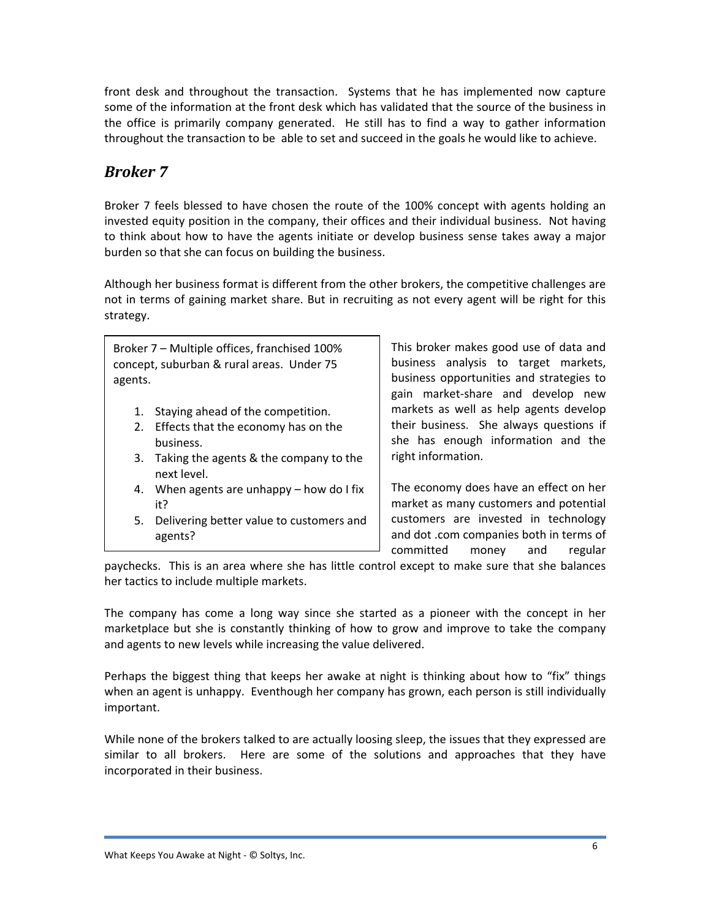front desk and throughout the transaction. Systems that he has implemented now capture some of the information at the front desk which has validated that the source of the business in the office is primarily company generated. He still has to find a way to gather information throughout the transaction to be able to set and succeed in the goals he would like to achieve.

### *Broker 7*

Broker 7 feels blessed to have chosen the route of the 100% concept with agents holding an invested equity position in the company, their offices and their individual business. Not having to think about how to have the agents initiate or develop business sense takes away a major burden so that she can focus on building the business.

Although her business format is different from the other brokers, the competitive challenges are not in terms of gaining market share. But in recruiting as not every agent will be right for this strategy.

Broker 7 – Multiple offices, franchised 100% concept, suburban & rural areas. Under 75 agents.

- 1. Staying ahead of the competition.
- 2. Effects that the economy has on the business.
- 3. Taking the agents & the company to the next level.
- 4. When agents are unhappy how do I fix it?
- 5. Delivering better value to customers and agents?

This broker makes good use of data and business analysis to target markets, business opportunities and strategies to gain market‐share and develop new markets as well as help agents develop their business. She always questions if she has enough information and the right information.

The economy does have an effect on her market as many customers and potential customers are invested in technology and dot .com companies both in terms of committed money and regular

paychecks. This is an area where she has little control except to make sure that she balances her tactics to include multiple markets.

The company has come a long way since she started as a pioneer with the concept in her marketplace but she is constantly thinking of how to grow and improve to take the company and agents to new levels while increasing the value delivered.

Perhaps the biggest thing that keeps her awake at night is thinking about how to "fix" things when an agent is unhappy. Eventhough her company has grown, each person is still individually important.

While none of the brokers talked to are actually loosing sleep, the issues that they expressed are similar to all brokers. Here are some of the solutions and approaches that they have incorporated in their business.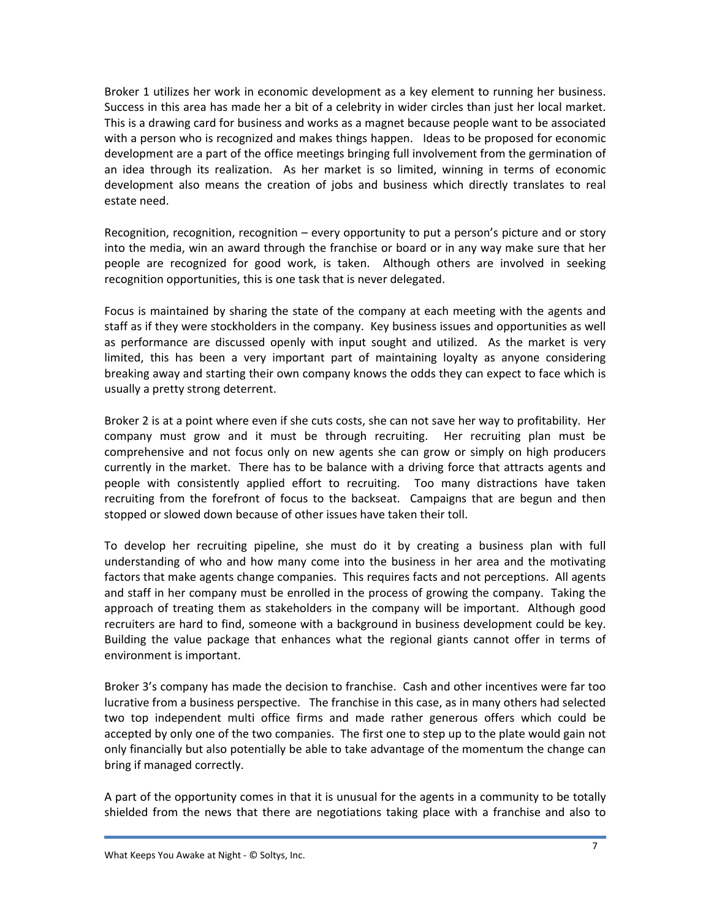Broker 1 utilizes her work in economic development as a key element to running her business. Success in this area has made her a bit of a celebrity in wider circles than just her local market. This is a drawing card for business and works as a magnet because people want to be associated with a person who is recognized and makes things happen. Ideas to be proposed for economic development are a part of the office meetings bringing full involvement from the germination of an idea through its realization. As her market is so limited, winning in terms of economic development also means the creation of jobs and business which directly translates to real estate need.

Recognition, recognition, recognition – every opportunity to put a person's picture and or story into the media, win an award through the franchise or board or in any way make sure that her people are recognized for good work, is taken. Although others are involved in seeking recognition opportunities, this is one task that is never delegated.

Focus is maintained by sharing the state of the company at each meeting with the agents and staff as if they were stockholders in the company. Key business issues and opportunities as well as performance are discussed openly with input sought and utilized. As the market is very limited, this has been a very important part of maintaining loyalty as anyone considering breaking away and starting their own company knows the odds they can expect to face which is usually a pretty strong deterrent.

Broker 2 is at a point where even if she cuts costs, she can not save her way to profitability. Her company must grow and it must be through recruiting. Her recruiting plan must be comprehensive and not focus only on new agents she can grow or simply on high producers currently in the market. There has to be balance with a driving force that attracts agents and people with consistently applied effort to recruiting. Too many distractions have taken recruiting from the forefront of focus to the backseat. Campaigns that are begun and then stopped or slowed down because of other issues have taken their toll.

To develop her recruiting pipeline, she must do it by creating a business plan with full understanding of who and how many come into the business in her area and the motivating factors that make agents change companies. This requires facts and not perceptions. All agents and staff in her company must be enrolled in the process of growing the company. Taking the approach of treating them as stakeholders in the company will be important. Although good recruiters are hard to find, someone with a background in business development could be key. Building the value package that enhances what the regional giants cannot offer in terms of environment is important.

Broker 3's company has made the decision to franchise. Cash and other incentives were far too lucrative from a business perspective. The franchise in this case, as in many others had selected two top independent multi office firms and made rather generous offers which could be accepted by only one of the two companies. The first one to step up to the plate would gain not only financially but also potentially be able to take advantage of the momentum the change can bring if managed correctly.

A part of the opportunity comes in that it is unusual for the agents in a community to be totally shielded from the news that there are negotiations taking place with a franchise and also to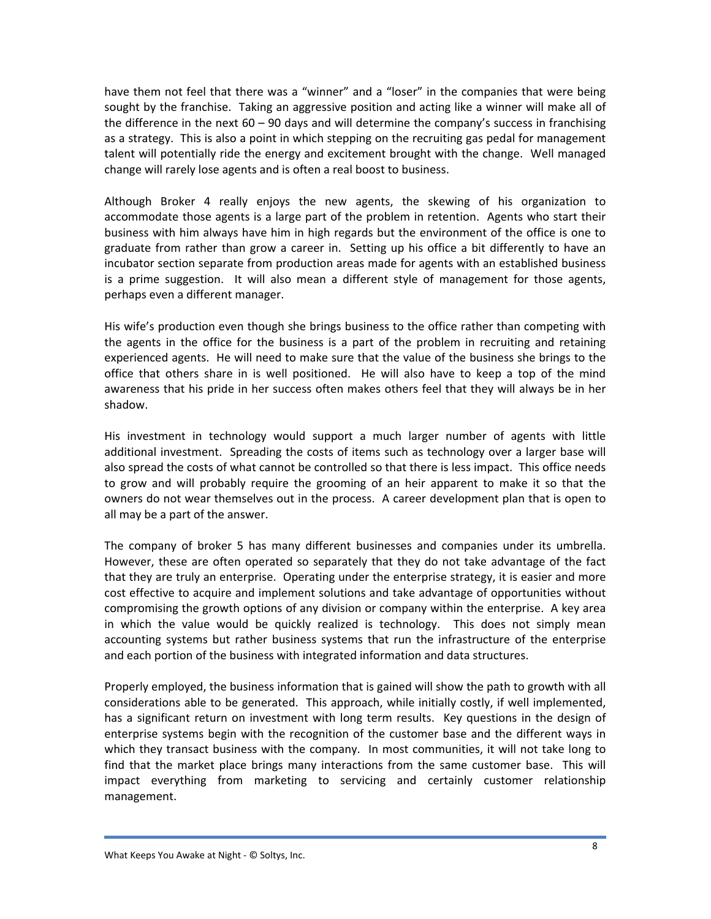have them not feel that there was a "winner" and a "loser" in the companies that were being sought by the franchise. Taking an aggressive position and acting like a winner will make all of the difference in the next  $60 - 90$  days and will determine the company's success in franchising as a strategy. This is also a point in which stepping on the recruiting gas pedal for management talent will potentially ride the energy and excitement brought with the change. Well managed change will rarely lose agents and is often a real boost to business.

Although Broker 4 really enjoys the new agents, the skewing of his organization to accommodate those agents is a large part of the problem in retention. Agents who start their business with him always have him in high regards but the environment of the office is one to graduate from rather than grow a career in. Setting up his office a bit differently to have an incubator section separate from production areas made for agents with an established business is a prime suggestion. It will also mean a different style of management for those agents, perhaps even a different manager.

His wife's production even though she brings business to the office rather than competing with the agents in the office for the business is a part of the problem in recruiting and retaining experienced agents. He will need to make sure that the value of the business she brings to the office that others share in is well positioned. He will also have to keep a top of the mind awareness that his pride in her success often makes others feel that they will always be in her shadow.

His investment in technology would support a much larger number of agents with little additional investment. Spreading the costs of items such as technology over a larger base will also spread the costs of what cannot be controlled so that there is less impact. This office needs to grow and will probably require the grooming of an heir apparent to make it so that the owners do not wear themselves out in the process. A career development plan that is open to all may be a part of the answer.

The company of broker 5 has many different businesses and companies under its umbrella. However, these are often operated so separately that they do not take advantage of the fact that they are truly an enterprise. Operating under the enterprise strategy, it is easier and more cost effective to acquire and implement solutions and take advantage of opportunities without compromising the growth options of any division or company within the enterprise. A key area in which the value would be quickly realized is technology. This does not simply mean accounting systems but rather business systems that run the infrastructure of the enterprise and each portion of the business with integrated information and data structures.

Properly employed, the business information that is gained will show the path to growth with all considerations able to be generated. This approach, while initially costly, if well implemented, has a significant return on investment with long term results. Key questions in the design of enterprise systems begin with the recognition of the customer base and the different ways in which they transact business with the company. In most communities, it will not take long to find that the market place brings many interactions from the same customer base. This will impact everything from marketing to servicing and certainly customer relationship management.